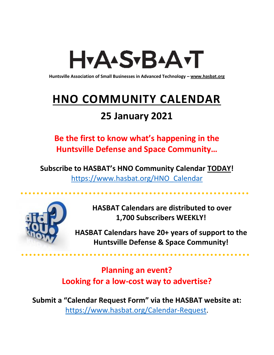# H<sub>Y</sub>AASTBAATT

**Huntsville Association of Small Businesses in Advanced Technology – [www.hasbat.org](http://www.hasbat.org/)**

# **HNO COMMUNITY CALENDAR**

# **25 January 2021**

**Be the first to know what's happening in the Huntsville Defense and Space Community…** 

**Subscribe to HASBAT's HNO Community Calendar TODAY!**  [https://www.hasbat.org/HNO\\_Calendar](https://www.hasbat.org/HNO_Calendar)



**HASBAT Calendars are distributed to over 1,700 Subscribers WEEKLY!**

**HASBAT Calendars have 20+ years of support to the Huntsville Defense & Space Community!** 

**Planning an event? Looking for a low-cost way to advertise?**

**Submit a "Calendar Request Form" via the HASBAT website at:**  [https://www.hasbat.org/Calendar-Request.](https://www.hasbat.org/Calendar-Request)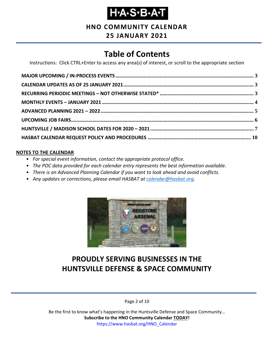# **Н-А-S-В-А-Т**

# **HNO COMMUNITY CALENDAR**

### **25 JANUARY 2021**

# **Table of Contents**

Instructions: Click CTRL+Enter to access any area(s) of interest, or scroll to the appropriate section

#### **NOTES TO THE CALENDAR**

- *For special event information, contact the appropriate protocol office.*
- *The POC data provided for each calendar entry represents the best information available.*
- *There is an Advanced Planning Calendar if you want to look ahead and avoid conflicts.*
- *Any updates or corrections, please email HASBAT at [calendar@hasbat.org.](mailto:calendar@hasbat.org)*



# **PROUDLY SERVING BUSINESSES IN THE HUNTSVILLE DEFENSE & SPACE COMMUNITY**

Page 2 of 10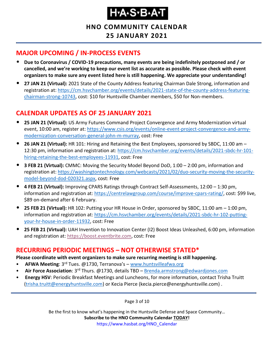# H.A.S.B.A.T

**HNO COMMUNITY CALENDAR 25 JANUARY 2021**

# <span id="page-2-0"></span>**MAJOR UPCOMING / IN-PROCESS EVENTS**

- **Due to Coronavirus / COVID-19 precautions, many events are being indefinitely postponed and / or cancelled, and we're working to keep our event list as accurate as possible. Please check with event organizers to make sure any event listed here is still happening. We appreciate your understanding!**
- **27 JAN 21 (Virtual):** 2021 State of the County Address featuring Chairman Dale Strong, information and registration at: [https://cm.hsvchamber.org/events/details/2021-state-of-the-county-address-featuring](https://cm.hsvchamber.org/events/details/2021-state-of-the-county-address-featuring-chairman-strong-10743)[chairman-strong-10743,](https://cm.hsvchamber.org/events/details/2021-state-of-the-county-address-featuring-chairman-strong-10743) cost: \$10 for Huntsville Chamber members, \$50 for Non-members.

# <span id="page-2-1"></span>**CALENDAR UPDATES AS OF 25 JANUARY 2021**

- **25 JAN 21 (Virtual):** US Army Futures Command Project Convergence and Army Modernization virtual event, 10:00 am, register at: [https://www.csis.org/events/online-event-project-convergence-and-army](https://www.csis.org/events/online-event-project-convergence-and-army-modernization-conversation-general-john-m-murray)[modernization-conversation-general-john-m-murray,](https://www.csis.org/events/online-event-project-convergence-and-army-modernization-conversation-general-john-m-murray) cost: Free
- **26 JAN 21 (Virtual):** HR 101: Hiring and Retaining the Best Employees, sponsored by SBDC, 11:00 am 12:30 pm, information and registration at[: https://cm.hsvchamber.org/events/details/2021-sbdc-hr-101](https://cm.hsvchamber.org/events/details/2021-sbdc-hr-101-hiring-retaining-the-best-employees-11931) [hiring-retaining-the-best-employees-11931,](https://cm.hsvchamber.org/events/details/2021-sbdc-hr-101-hiring-retaining-the-best-employees-11931) cost: Free
- **3 FEB 21 (Virtual):** CMMC: Moving the Security Model Beyond DoD, 1:00 2:00 pm, information and registration at: [https://washingtontechnology.com/webcasts/2021/02/duo-security-moving-the-security](https://washingtontechnology.com/webcasts/2021/02/duo-security-moving-the-security-model-beyond-dod-020321.aspx)[model-beyond-dod-020321.aspx,](https://washingtontechnology.com/webcasts/2021/02/duo-security-moving-the-security-model-beyond-dod-020321.aspx) cost: Free
- **4 FEB 21 (Virtual):** Improving CPARS Ratings through Contract Self-Assessments, 12:00 1:30 pm, information and registration at: [https://centrelawgroup.com/course/improve-cpars-rating/,](https://centrelawgroup.com/course/improve-cpars-rating/) cost: \$99 live, \$89 on-demand after 6 February.
- **25 FEB 21 (Virtual):** HR 102: Putting your HR House in Order, sponsored by SBDC, 11:00 am 1:00 pm, information and registration at: [https://cm.hsvchamber.org/events/details/2021-sbdc-hr-102-putting](https://cm.hsvchamber.org/events/details/2021-sbdc-hr-102-putting-your-hr-house-in-order-11932)[your-hr-house-in-order-11932,](https://cm.hsvchamber.org/events/details/2021-sbdc-hr-102-putting-your-hr-house-in-order-11932) cost: Free
- **25 FEB 21 (Virtual):** UAH Invention to Innovation Center (I2) Boost Ideas Unleashed, 6:00 pm, information and registration at: [https://boost.eventbrite.com,](https://boost.eventbrite.com/) cost: Free

### <span id="page-2-2"></span>**RECURRING PERIODIC MEETINGS – NOT OTHERWISE STATED\***

**Please coordinate with event organizers to make sure recurring meeting is still happening.**

- **AFWA Meeting**: 3<sup>rd</sup> Tues. @1730, Terranova's [www.huntsvilleafwa.org](http://www.huntsvilleafwa.org/)
- **Air Force Association**: 3rd Thurs. @1730, details TBD [Brenda.armstrong@edwardjones.com](mailto:Brenda.armstrong@edwardjones.com)
- **Energy HSV**: Periodic Breakfast Meetings and Luncheons, for more information, contact Trisha Truitt [\(trisha.truitt@energyhuntsville.com\)](mailto:trisha.truitt@energyhuntsville.com) or Kecia Pierce (kecia.pierce@energyhuntsville.com) .

Page 3 of 10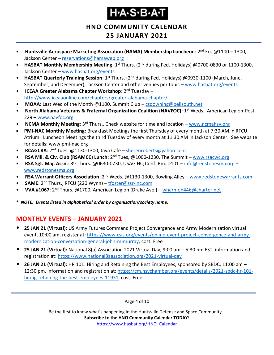# H.A.S.B.A.T

### **HNO COMMUNITY CALENDAR 25 JANUARY 2021**

- **Huntsville Aerospace Marketing Association (HAMA) Membership Luncheon**: 2nd Fri. @1100 1300, Jackson Center – [reservations@hamaweb.org](mailto:reservations@hamaweb.org)
- **HASBAT Monthly Membership Meeting**: 1<sup>st</sup> Thurs. (2<sup>nd</sup> during Fed. Holidays) @0700-0830 or 1100-1300, Jackson Center – [www.hasbat.org/events](http://www.hasbat.org/events)
- **HASBAT Quarterly Training Session**: 1<sup>st</sup> Thurs. (2<sup>nd</sup> during Fed. Holidays) @0930-1100 (March, June, September, and December), Jackson Center and other venues per topic – [www.hasbat.org/events](http://www.hasbat.org/events)
- **ICEAA Greater Alabama Chapter Workshop**: 2nd Tuesday <http://www.iceaaonline.com/chapters/greater-alabama-chapter/>
- **MOAA**: Last Wed of the Month @1100, Summit Club [csdowning@bellsouth.net](mailto:csdowning@bellsouth.net)
- North Alabama Veterans & Fraternal Organization Coalition (NAVFOC): 1<sup>st</sup> Weds., American Legion-Post 229 – [www.navfoc.org](http://www.navfoc.org/)
- **NCMA Monthly Meeting**: 3rd Thurs., Check website for time and location [www.ncmahsv.org](http://www.ncmahsv.org/)
- **PMI-NAC Monthly Meeting:** Breakfast Meetings the first Thursday of every month at 7:30 AM in RFCU Atrium. Luncheon Meetings the third Tuesday of every month at 11:30 AM in Jackson Center. See website for details: www.pmi-nac.org
- **RCAGCRA**: 2nd Tues. @1130-1300, Java Café [sherenroberts@yahoo.com](mailto:sherenroberts@yahoo.com)
- **RSA Mil. & Civ. Club (RSAMCC) Lunch**: 2nd Tues, @1000-1230, The Summit [www.rsacwc.org](http://www.rsacwc.org/)
- **RSA Sgt. Maj. Assn.**: 3rd Thurs. @0630-0730, USAG HQ Conf. Rm. D101 [info@redstonesma.org](mailto:info@redstonesma.org) [www.redstonesma.org](http://www.redstonesma.org/)
- **RSA Warrant Officers Association**: 2<sup>nd</sup> Weds. @1130-1300, Bowling Alley [www.redstonewarrants.com](http://www.redstonewarrants.com/)
- **SAME**: 2nd Thurs., RFCU (220 Wynn) [tfoster@ssr-inc.com](mailto:tfoster@ssr-inc.com)
- **VVA #1067**: 2nd Thurs. @1700, American Legion (Drake Ave.) [wharmon446@charter.net](mailto:wharmon446@charter.net)

*\* NOTE: Events listed in alphabetical order by organization/society name.*

# <span id="page-3-0"></span>**MONTHLY EVENTS – JANUARY 2021**

- **25 JAN 21 (Virtual):** US Army Futures Command Project Convergence and Army Modernization virtual event, 10:00 am, register at: [https://www.csis.org/events/online-event-project-convergence-and-army](https://www.csis.org/events/online-event-project-convergence-and-army-modernization-conversation-general-john-m-murray)[modernization-conversation-general-john-m-murray,](https://www.csis.org/events/online-event-project-convergence-and-army-modernization-conversation-general-john-m-murray) cost: Free
- **25 JAN 21 (Virtual):** National 8(a) Association 2021 Virtual Day, 9:00 am 5:30 pm EST, information and registration at:<https://www.national8aassociation.org/2021-virtual-day>
- **26 JAN 21 (Virtual):** HR 101: Hiring and Retaining the Best Employees, sponsored by SBDC, 11:00 am 12:30 pm, information and registration at[: https://cm.hsvchamber.org/events/details/2021-sbdc-hr-101](https://cm.hsvchamber.org/events/details/2021-sbdc-hr-101-hiring-retaining-the-best-employees-11931) [hiring-retaining-the-best-employees-11931,](https://cm.hsvchamber.org/events/details/2021-sbdc-hr-101-hiring-retaining-the-best-employees-11931) cost: Free

Page 4 of 10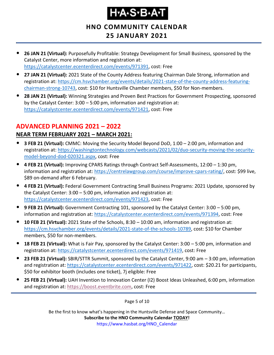# H.A.S.B.A.T

# **HNO COMMUNITY CALENDAR 25 JANUARY 2021**

- **26 JAN 21 (Virtual):** Purposefully Profitable: Strategy Development for Small Business, sponsored by the Catalyst Center, more information and registration at: [https://catalystcenter.ecenterdirect.com/events/971391,](https://catalystcenter.ecenterdirect.com/events/971391) cost: Free
- **27 JAN 21 (Virtual):** 2021 State of the County Address featuring Chairman Dale Strong, information and registration at: [https://cm.hsvchamber.org/events/details/2021-state-of-the-county-address-featuring](https://cm.hsvchamber.org/events/details/2021-state-of-the-county-address-featuring-chairman-strong-10743)[chairman-strong-10743,](https://cm.hsvchamber.org/events/details/2021-state-of-the-county-address-featuring-chairman-strong-10743) cost: \$10 for Huntsville Chamber members, \$50 for Non-members.
- **28 JAN 21 (Virtual):** Winning Strategies and Proven Best Practices for Government Prospecting, sponsored by the Catalyst Center: 3:00 – 5:00 pm, information and registration at: [https://catalystcenter.ecenterdirect.com/events/971421,](https://catalystcenter.ecenterdirect.com/events/971421) cost: Free

# <span id="page-4-0"></span>**ADVANCED PLANNING 2021 – 2022**

### **NEAR TERM FEBRUARY 2021 – MARCH 2021:**

- **3 FEB 21 (Virtual):** CMMC: Moving the Security Model Beyond DoD, 1:00 2:00 pm, information and registration at: [https://washingtontechnology.com/webcasts/2021/02/duo-security-moving-the-security](https://washingtontechnology.com/webcasts/2021/02/duo-security-moving-the-security-model-beyond-dod-020321.aspx)[model-beyond-dod-020321.aspx,](https://washingtontechnology.com/webcasts/2021/02/duo-security-moving-the-security-model-beyond-dod-020321.aspx) cost: Free
- **4 FEB 21 (Virtual):** Improving CPARS Ratings through Contract Self-Assessments, 12:00 1:30 pm, information and registration at: [https://centrelawgroup.com/course/improve-cpars-rating/,](https://centrelawgroup.com/course/improve-cpars-rating/) cost: \$99 live, \$89 on-demand after 6 February.
- **4 FEB 21 (Virtual):** Federal Government Contracting Small Business Programs: 2021 Update, sponsored by the Catalyst Center: 3:00 – 5:00 pm, information and registration at: [https://catalystcenter.ecenterdirect.com/events/971423,](https://catalystcenter.ecenterdirect.com/events/971423) cost: Free
- **9 FEB 21 (Virtual):** Government Contracting 101, sponsored by the Catalyst Center: 3:00 5:00 pm, information and registration at: [https://catalystcenter.ecenterdirect.com/events/971394,](https://catalystcenter.ecenterdirect.com/events/971394) cost: Free
- **10 FEB 21 (Virtual):** 2021 State of the Schools, 8:30 10:00 am, information and registration at: [https://cm.hsvchamber.org/events/details/2021-state-of-the-schools-10789,](https://cm.hsvchamber.org/events/details/2021-state-of-the-schools-10789) cost: \$10 for Chamber members, \$50 for non-members.
- **18 FEB 21 (Virtual):** What is Fair Pay, sponsored by the Catalyst Center: 3:00 5:00 pm, information and registration at: [https://catalystcenter.ecenterdirect.com/events/971419,](https://catalystcenter.ecenterdirect.com/events/971419) cost: Free
- **23 FEB 21 (Virtual):** SBIR/STTR Summit, sponsored by the Catalyst Center, 9:00 am 3:00 pm, information and registration at: [https://catalystcenter.ecenterdirect.com/events/971422,](https://catalystcenter.ecenterdirect.com/events/971422) cost: \$20.21 for participants, \$50 for exhibitor booth (includes one ticket), 7j eligible: Free
- **25 FEB 21 (Virtual):** UAH Invention to Innovation Center (I2) Boost Ideas Unleashed, 6:00 pm, information and registration at: [https://boost.eventbrite.com,](https://boost.eventbrite.com/) cost: Free

Page 5 of 10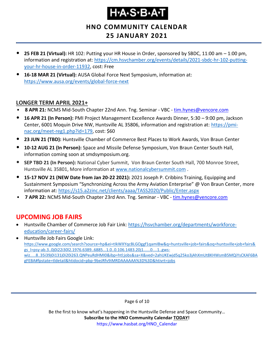# Ҥ҂Ѧ҂Ҧ҂Ѧҭ

**HNO COMMUNITY CALENDAR 25 JANUARY 2021**

- **25 FEB 21 (Virtual):** HR 102: Putting your HR House in Order, sponsored by SBDC, 11:00 am 1:00 pm, information and registration at: [https://cm.hsvchamber.org/events/details/2021-sbdc-hr-102-putting](https://cm.hsvchamber.org/events/details/2021-sbdc-hr-102-putting-your-hr-house-in-order-11932)[your-hr-house-in-order-11932,](https://cm.hsvchamber.org/events/details/2021-sbdc-hr-102-putting-your-hr-house-in-order-11932) cost: Free
- **16-18 MAR 21 (Virtual):** AUSA Global Force Next Symposium, information at: <https://www.ausa.org/events/global-force-next>

#### **LONGER TERM APRIL 2021+**

- **8 APR 21:** NCMS Mid-South Chapter 22nd Ann. Tng. Seminar VBC [tim.hynes@vencore.com](mailto:tim.hynes@vencore.com)
- **16 APR 21 (In Person):** PMI Project Management Excellence Awards Dinner, 5:30 9:00 pm, Jackson Center, 6001 Moquin Drive NW, Huntsville AL 35806, information and registration at: [https://pmi](https://pmi-nac.org/meet-reg1.php?id=179)[nac.org/meet-reg1.php?id=179,](https://pmi-nac.org/meet-reg1.php?id=179) cost: \$60
- **23 JUN 21 (TBD):** Huntsville Chamber of Commerce Best Places to Work Awards, Von Braun Center
- **10-12 AUG 21 (In Person):** Space and Missile Defense Symposium, Von Braun Center South Hall, information coming soon at smdsymposium.org.
- **SEP TBD 21 (In Person):** National Cyber Summit, Von Braun Center South Hall, 700 Monroe Street, Huntsville AL 35801, More information at [www.nationalcybersummit.com](http://www.nationalcybersummit.com/) .
- **15-17 NOV 21 (NEW Date from Jan 20-22 2021):** 2021 Joseph P. Cribbins Training, Equipping and Sustainment Symposium "Synchronizing Across the Army Aviation Enterprise" @ Von Braun Center, more information at:<https://s15.a2zinc.net/clients/aaaa/TASS2020/Public/Enter.aspx>
- **7 APR 22:** NCMS Mid-South Chapter 23rd Ann. Tng. Seminar VBC [tim.hynes@vencore.com](mailto:tim.hynes@vencore.com)

### <span id="page-5-0"></span>**UPCOMING JOB FAIRS**

• Huntsville Chamber of Commerce Job Fair Link: [https://hsvchamber.org/departments/workforce](https://hsvchamber.org/departments/workforce-education/career-fairs/)[education/career-fairs/](https://hsvchamber.org/departments/workforce-education/career-fairs/)

• Huntsville Job Fairs Google Link: [https://www.google.com/search?source=hp&ei=tIkWXYqcBLGOggf1qamIBw&q=huntsville+job+fairs&oq=huntsville+job+fairs&](https://www.google.com/search?source=hp&ei=tIkWXYqcBLGOggf1qamIBw&q=huntsville+job+fairs&oq=huntsville+job+fairs&gs_l=psy-ab.3..0j0i22i30l2.1976.6389..6885...1.0..0.106.1483.20j1......0....1..gws-wiz.....8..35i39j0i131j0i20i263.QNPeuRdHMI0&ibp=htl;jobs&sa=X&ved=2ahUKEwjd5q25ko3jAhXmUt8KHWsmB5MQiYsCKAF6BAgFEBA#fpstate=tldetail&htidocid=pbp-9beJRfv9iMRDAAAAAA%3D%3D&htivrt=jobs) [gs\\_l=psy-ab.3..0j0i22i30l2.1976.6389..6885...1.0..0.106.1483.20j1......0....1..gws](https://www.google.com/search?source=hp&ei=tIkWXYqcBLGOggf1qamIBw&q=huntsville+job+fairs&oq=huntsville+job+fairs&gs_l=psy-ab.3..0j0i22i30l2.1976.6389..6885...1.0..0.106.1483.20j1......0....1..gws-wiz.....8..35i39j0i131j0i20i263.QNPeuRdHMI0&ibp=htl;jobs&sa=X&ved=2ahUKEwjd5q25ko3jAhXmUt8KHWsmB5MQiYsCKAF6BAgFEBA#fpstate=tldetail&htidocid=pbp-9beJRfv9iMRDAAAAAA%3D%3D&htivrt=jobs)[wiz.....8..35i39j0i131j0i20i263.QNPeuRdHMI0&ibp=htl;jobs&sa=X&ved=2ahUKEwjd5q25ko3jAhXmUt8KHWsmB5MQiYsCKAF6BA](https://www.google.com/search?source=hp&ei=tIkWXYqcBLGOggf1qamIBw&q=huntsville+job+fairs&oq=huntsville+job+fairs&gs_l=psy-ab.3..0j0i22i30l2.1976.6389..6885...1.0..0.106.1483.20j1......0....1..gws-wiz.....8..35i39j0i131j0i20i263.QNPeuRdHMI0&ibp=htl;jobs&sa=X&ved=2ahUKEwjd5q25ko3jAhXmUt8KHWsmB5MQiYsCKAF6BAgFEBA#fpstate=tldetail&htidocid=pbp-9beJRfv9iMRDAAAAAA%3D%3D&htivrt=jobs) [gFEBA#fpstate=tldetail&htidocid=pbp-9beJRfv9iMRDAAAAAA%3D%3D&htivrt=jobs](https://www.google.com/search?source=hp&ei=tIkWXYqcBLGOggf1qamIBw&q=huntsville+job+fairs&oq=huntsville+job+fairs&gs_l=psy-ab.3..0j0i22i30l2.1976.6389..6885...1.0..0.106.1483.20j1......0....1..gws-wiz.....8..35i39j0i131j0i20i263.QNPeuRdHMI0&ibp=htl;jobs&sa=X&ved=2ahUKEwjd5q25ko3jAhXmUt8KHWsmB5MQiYsCKAF6BAgFEBA#fpstate=tldetail&htidocid=pbp-9beJRfv9iMRDAAAAAA%3D%3D&htivrt=jobs)

Page 6 of 10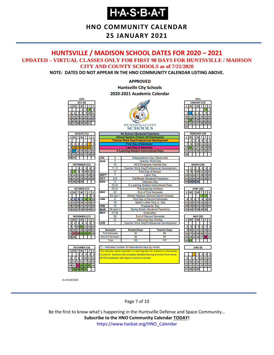# **H-A-S-B-A-T**

# **HNO COMMUNITY CALENDAR**

### **25 JANUARY 2021**

#### <span id="page-6-0"></span>**HUNTSVILLE / MADISON SCHOOL DATES FOR 2020 – 2021 UPDATED – VIRTUAL CLASSES ONLY FOR FIRST 90 DAYS FOR HUNTSVILLE / MADISON CITY AND COUNTY SCHOOLS as of 7/21/2020**

**NOTE: DATES DO NOT APPEAR IN THE HNO COMMUNITY CALENDAR LISTING ABOVE.**

#### **APPROVED Huntsville City Schools** 2020-2021 Academic Calendar



As of 6/4/2020

Page 7 of 10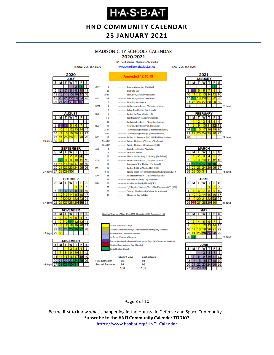# **Н-А-S-В-А-Т**

# **HNO COMMUNITY CALENDAR 25 JANUARY 2021**

# **MADISON CITY SCHOOLS CALENDAR**

2020-2021 211 Celtic Drive Madison, AL 35758

FAX: 256-464-8291



Page 8 of 10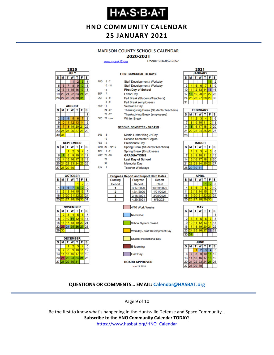# **H-A-S-B-A-T**

### **HNO COMMUNITY CALENDAR 25 JANUARY 2021**

#### **MADISON COUNTY SCHOOLS CALENDAR**

#### 2020-2021

**FIRST SEMESTER - 88 DAYS** 

Staff Development / Workday

www.mcssk12.org

AHG  $-5$   $-7$ 

Phone: 256-852-2557



| <b>AUGUST</b> |    |                    |          |    |    |    |  |  |
|---------------|----|--------------------|----------|----|----|----|--|--|
| s             | М  | <b>W</b><br>F<br>т |          |    |    |    |  |  |
|               |    |                    |          |    |    |    |  |  |
| 2             | 3  | 4                  | 5        | 6  |    | 8  |  |  |
| 9             | 10 |                    | 12       | 13 |    |    |  |  |
| 16            | 17 | 18                 | 19       | 20 | 21 | 22 |  |  |
| 23            | 24 |                    | 25 26 27 |    | 28 | 29 |  |  |
| 30            | 31 |                    |          |    |    |    |  |  |

|    | <b>SEPTEMBER</b>               |                 |          |    |    |    |  |  |  |  |
|----|--------------------------------|-----------------|----------|----|----|----|--|--|--|--|
| s  | т<br><b>T</b> W<br>F<br>s<br>М |                 |          |    |    |    |  |  |  |  |
|    |                                |                 | 2        | з  |    |    |  |  |  |  |
| 6  |                                | 8               | 9        | 10 |    | 12 |  |  |  |  |
| 13 | 14                             |                 | 15 16    | 17 | 18 | 19 |  |  |  |  |
| 20 | 21                             |                 | 22 23 24 |    | 25 | 26 |  |  |  |  |
| 27 | 128.                           | 29 <sup>1</sup> | 30       |    |    |    |  |  |  |  |







|               |    | $10 - 18$      | Staff Development / Workday |                                              |  |        |  |  |  |
|---------------|----|----------------|-----------------------------|----------------------------------------------|--|--------|--|--|--|
|               | 19 |                | <b>First Day of School</b>  |                                              |  |        |  |  |  |
| <b>SEP</b>    | 7  |                |                             | <b>Labor Day</b>                             |  |        |  |  |  |
| OCT 5-9       |    |                |                             | Fall Break (Students/Teachers)               |  |        |  |  |  |
|               |    | $8 - 9$        |                             | Fall Break (employees)                       |  |        |  |  |  |
| <b>NOV 11</b> |    |                |                             | <b>Veteran's Day</b>                         |  |        |  |  |  |
|               |    | $24 - 27$      |                             | Thanksgiving Break (Students/Teachers)       |  |        |  |  |  |
|               |    | $25 - 27$      |                             | <b>Thanksgiving Break (employees)</b>        |  |        |  |  |  |
|               |    | DEC 22 -Jan 1  |                             | <b>Winter Break</b>                          |  |        |  |  |  |
|               |    |                |                             | <b>SECOND SEMESTER - 88 DAYS</b>             |  |        |  |  |  |
| <b>JAN</b>    | 18 |                |                             | Martin Luther King Jr Day                    |  |        |  |  |  |
|               | 19 |                |                             | <b>Second Semester Begins</b>                |  |        |  |  |  |
| <b>FEB</b>    | 15 |                |                             | <b>President's Day</b>                       |  |        |  |  |  |
|               |    | MAR 29 - APR 2 |                             | Spring Break (Students/Teachers)             |  |        |  |  |  |
| APR 1 -2      |    |                |                             | Spring Break (Employees)                     |  |        |  |  |  |
| MAY 25 -26    |    |                |                             | <b>GRADUATIONS</b>                           |  |        |  |  |  |
|               | 28 |                |                             | <b>Last Day of School</b>                    |  |        |  |  |  |
|               | 31 |                |                             | <b>Memorial Day</b>                          |  |        |  |  |  |
| <b>JUN</b>    | 1  |                |                             | <b>Teacher Workdays</b>                      |  |        |  |  |  |
|               |    |                |                             | <b>Progress Report and Report Card Dates</b> |  |        |  |  |  |
|               |    | Grading        |                             | <b>Progress</b>                              |  | Report |  |  |  |
|               |    |                |                             |                                              |  |        |  |  |  |

| Grading | <b>Progress</b> | Report     |
|---------|-----------------|------------|
| Period  | Report          | Card       |
|         | 9/17/2020       | 10/29/2020 |
|         | 12/1/2020       | 1/21/2021  |
|         | 2/18/2021       | 3/25/2021  |
|         | 4/29/2021       | 6/3/2021   |
|         |                 |            |





| <b>FEBRUARY</b> |                      |    |                |          |   |    |  |  |
|-----------------|----------------------|----|----------------|----------|---|----|--|--|
| s               | T W<br>IT.<br>F<br>М |    |                |          |   |    |  |  |
|                 |                      | ۰  | з              |          | 6 | f  |  |  |
|                 | R                    | 91 |                | 10111112 |   | 13 |  |  |
|                 |                      |    | 16 17 18 19 20 |          |   |    |  |  |
|                 |                      |    | 23 24 25 26 27 |          |   |    |  |  |
|                 |                      |    |                |          |   |    |  |  |

| <b>MARCH</b>       |                        |     |    |    |    |    |  |  |
|--------------------|------------------------|-----|----|----|----|----|--|--|
| $\bar{\mathbf{s}}$ | W<br>S<br>F<br>Ť.<br>м |     |    |    |    |    |  |  |
|                    |                        | 2   |    |    |    | в  |  |  |
|                    | 8                      | 9   | 10 |    | 12 | 13 |  |  |
| 14                 | 15 <sup>1</sup>        | 16  | 17 | 18 | 19 | 20 |  |  |
| 21                 |                        | 123 | 24 | 25 | 26 | 27 |  |  |
|                    | 28 29 30 31            |     |    |    |    |    |  |  |
|                    |                        |     |    |    |    |    |  |  |

| APRIL        |    |       |          |    |    |    |  |  |  |
|--------------|----|-------|----------|----|----|----|--|--|--|
| $\mathbf{s}$ | М  |       | W        | т  | F  | S  |  |  |  |
|              |    |       |          |    |    | 3  |  |  |  |
| 4            | 5  | 6     |          | 8  | ğ  | 10 |  |  |  |
| 11           | 12 | 13    | 14       | 15 | 16 | 17 |  |  |  |
| 18           |    |       | 19 20 21 | 22 | 23 | 24 |  |  |  |
| 25           | 26 | 27 28 |          | 29 | 30 |    |  |  |  |
|              |    |       |          |    |    |    |  |  |  |





#### **QUESTIONS OR COMMENTS… EMAIL: [Calendar@HASBAT.org](mailto:calendar@hasbat.org)**

Page 9 of 10